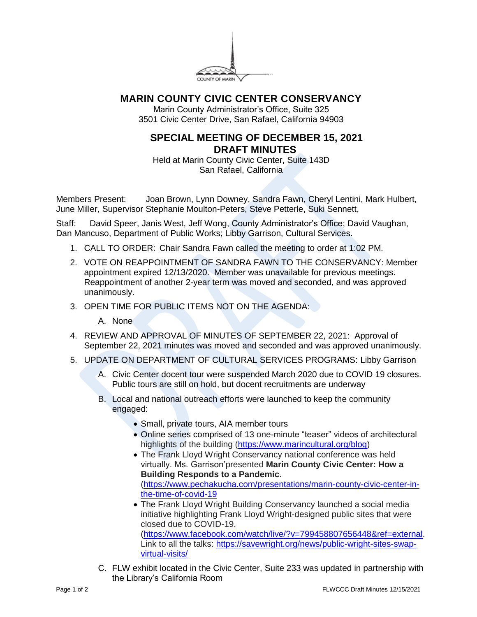

## **MARIN COUNTY CIVIC CENTER CONSERVANCY**

Marin County Administrator's Office, Suite 325 3501 Civic Center Drive, San Rafael, California 94903

## **SPECIAL MEETING OF DECEMBER 15, 2021 DRAFT MINUTES**

Held at Marin County Civic Center, Suite 143D San Rafael, California

Members Present: Joan Brown, Lynn Downey, Sandra Fawn, Cheryl Lentini, Mark Hulbert, June Miller, Supervisor Stephanie Moulton-Peters, Steve Petterle, Suki Sennett,

Staff: David Speer, Janis West, Jeff Wong, County Administrator's Office; David Vaughan, Dan Mancuso, Department of Public Works; Libby Garrison, Cultural Services.

- 1. CALL TO ORDER: Chair Sandra Fawn called the meeting to order at 1:02 PM.
- 2. VOTE ON REAPPOINTMENT OF SANDRA FAWN TO THE CONSERVANCY: Member appointment expired 12/13/2020. Member was unavailable for previous meetings. Reappointment of another 2-year term was moved and seconded, and was approved unanimously.
- 3. OPEN TIME FOR PUBLIC ITEMS NOT ON THE AGENDA:
	- A. None
- 4. REVIEW AND APPROVAL OF MINUTES OF SEPTEMBER 22, 2021: Approval of September 22, 2021 minutes was moved and seconded and was approved unanimously.
- 5. UPDATE ON DEPARTMENT OF CULTURAL SERVICES PROGRAMS: Libby Garrison
	- A. Civic Center docent tour were suspended March 2020 due to COVID 19 closures. Public tours are still on hold, but docent recruitments are underway
	- B. Local and national outreach efforts were launched to keep the community engaged:
		- Small, private tours, AIA member tours
		- Online series comprised of 13 one-minute "teaser" videos of architectural highlights of the building [\(https://www.marincultural.org/blog\)](https://www.marincultural.org/blog)
		- The Frank Lloyd Wright Conservancy national conference was held virtually. Ms. Garrison'presented **Marin County Civic Center: How a Building Responds to a Pandemic**. [\(https://www.pechakucha.com/presentations/marin-county-civic-center-in](https://www.pechakucha.com/presentations/marin-county-civic-center-in-the-time-of-covid-19)[the-time-of-covid-19](https://www.pechakucha.com/presentations/marin-county-civic-center-in-the-time-of-covid-19)
		- The Frank Lloyd Wright Building Conservancy launched a social media initiative highlighting Frank Lloyd Wright-designed public sites that were closed due to COVID-19. [\(https://www.facebook.com/watch/live/?v=799458807656448&ref=external.](https://www.facebook.com/watch/live/?v=799458807656448&ref=external) Link to all the talks: [https://savewright.org/news/public-wright-sites-swap](https://savewright.org/news/public-wright-sites-swap-virtual-visits/)[virtual-visits/](https://savewright.org/news/public-wright-sites-swap-virtual-visits/)
	- C. FLW exhibit located in the Civic Center, Suite 233 was updated in partnership with the Library's California Room